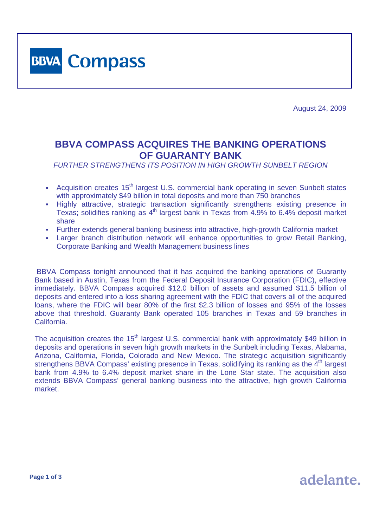

August 24, 2009

adelante.

## **BBVA COMPASS ACQUIRES THE BANKING OPERATIONS OF GUARANTY BANK**

*FURTHER STRENGTHENS ITS POSITION IN HIGH GROWTH SUNBELT REGION* 

- Acquisition creates 15<sup>th</sup> largest U.S. commercial bank operating in seven Sunbelt states with approximately \$49 billion in total deposits and more than 750 branches
- Highly attractive, strategic transaction significantly strengthens existing presence in Texas; solidifies ranking as 4th largest bank in Texas from 4.9% to 6.4% deposit market share
- Further extends general banking business into attractive, high-growth California market
- Larger branch distribution network will enhance opportunities to grow Retail Banking, Corporate Banking and Wealth Management business lines

 BBVA Compass tonight announced that it has acquired the banking operations of Guaranty Bank based in Austin, Texas from the Federal Deposit Insurance Corporation (FDIC), effective immediately. BBVA Compass acquired \$12.0 billion of assets and assumed \$11.5 billion of deposits and entered into a loss sharing agreement with the FDIC that covers all of the acquired loans, where the FDIC will bear 80% of the first \$2.3 billion of losses and 95% of the losses above that threshold. Guaranty Bank operated 105 branches in Texas and 59 branches in California.

The acquisition creates the 15<sup>th</sup> largest U.S. commercial bank with approximately \$49 billion in deposits and operations in seven high growth markets in the Sunbelt including Texas, Alabama, Arizona, California, Florida, Colorado and New Mexico. The strategic acquisition significantly strengthens BBVA Compass' existing presence in Texas, solidifying its ranking as the  $4<sup>th</sup>$  largest bank from 4.9% to 6.4% deposit market share in the Lone Star state. The acquisition also extends BBVA Compass' general banking business into the attractive, high growth California market.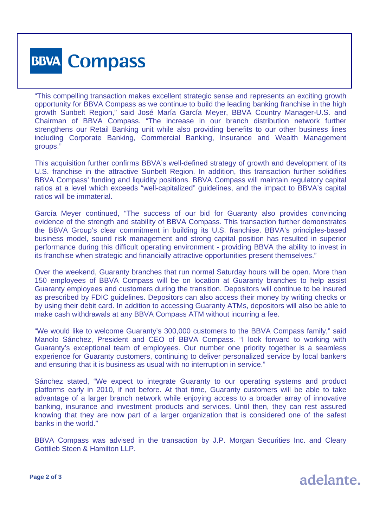

"This compelling transaction makes excellent strategic sense and represents an exciting growth opportunity for BBVA Compass as we continue to build the leading banking franchise in the high growth Sunbelt Region," said José María García Meyer, BBVA Country Manager-U.S. and Chairman of BBVA Compass. "The increase in our branch distribution network further strengthens our Retail Banking unit while also providing benefits to our other business lines including Corporate Banking, Commercial Banking, Insurance and Wealth Management groups."

This acquisition further confirms BBVA's well-defined strategy of growth and development of its U.S. franchise in the attractive Sunbelt Region. In addition, this transaction further solidifies BBVA Compass' funding and liquidity positions. BBVA Compass will maintain regulatory capital ratios at a level which exceeds "well-capitalized" guidelines, and the impact to BBVA's capital ratios will be immaterial.

García Meyer continued, "The success of our bid for Guaranty also provides convincing evidence of the strength and stability of BBVA Compass. This transaction further demonstrates the BBVA Group's clear commitment in building its U.S. franchise. BBVA's principles-based business model, sound risk management and strong capital position has resulted in superior performance during this difficult operating environment - providing BBVA the ability to invest in its franchise when strategic and financially attractive opportunities present themselves."

Over the weekend, Guaranty branches that run normal Saturday hours will be open. More than 150 employees of BBVA Compass will be on location at Guaranty branches to help assist Guaranty employees and customers during the transition. Depositors will continue to be insured as prescribed by FDIC guidelines. Depositors can also access their money by writing checks or by using their debit card. In addition to accessing Guaranty ATMs, depositors will also be able to make cash withdrawals at any BBVA Compass ATM without incurring a fee.

"We would like to welcome Guaranty's 300,000 customers to the BBVA Compass family," said Manolo Sánchez, President and CEO of BBVA Compass. "I look forward to working with Guaranty's exceptional team of employees. Our number one priority together is a seamless experience for Guaranty customers, continuing to deliver personalized service by local bankers and ensuring that it is business as usual with no interruption in service."

Sánchez stated, "We expect to integrate Guaranty to our operating systems and product platforms early in 2010, if not before. At that time, Guaranty customers will be able to take advantage of a larger branch network while enjoying access to a broader array of innovative banking, insurance and investment products and services. Until then, they can rest assured knowing that they are now part of a larger organization that is considered one of the safest banks in the world."

BBVA Compass was advised in the transaction by J.P. Morgan Securities Inc. and Cleary Gottlieb Steen & Hamilton LLP.

adelante.

**Page 2 of 3**